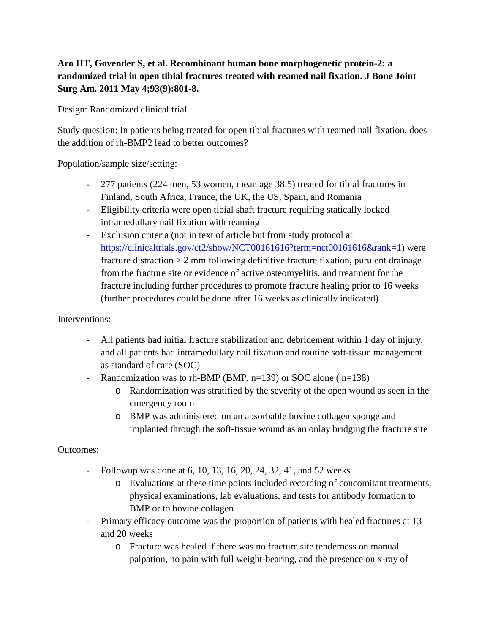## **Aro HT, Govender S, et al. Recombinant human bone morphogenetic protein-2: a randomized trial in open tibial fractures treated with reamed nail fixation. J Bone Joint Surg Am. 2011 May 4;93(9):801-8.**

Design: Randomized clinical trial

Study question: In patients being treated for open tibial fractures with reamed nail fixation, does the addition of rh-BMP2 lead to better outcomes?

Population/sample size/setting:

- 277 patients (224 men, 53 women, mean age 38.5) treated for tibial fractures in Finland, South Africa, France, the UK, the US, Spain, and Romania
- Eligibility criteria were open tibial shaft fracture requiring statically locked intramedullary nail fixation with reaming
- Exclusion criteria (not in text of article but from study protocol at [https://clinicaltrials.gov/ct2/show/NCT00161616?term=nct00161616&rank=1\)](https://clinicaltrials.gov/ct2/show/NCT00161616?term=nct00161616&rank=1) were fracture distraction > 2 mm following definitive fracture fixation, purulent drainage from the fracture site or evidence of active osteomyelitis, and treatment for the fracture including further procedures to promote fracture healing prior to 16 weeks (further procedures could be done after 16 weeks as clinically indicated)

## Interventions:

- All patients had initial fracture stabilization and debridement within 1 day of injury, and all patients had intramedullary nail fixation and routine soft-tissue management as standard of care (SOC)
- Randomization was to rh-BMP (BMP, n=139) or SOC alone ( n=138)
	- o Randomization was stratified by the severity of the open wound as seen in the emergency room
	- o BMP was administered on an absorbable bovine collagen sponge and implanted through the soft-tissue wound as an onlay bridging the fracture site

Outcomes:

- Followup was done at 6, 10, 13, 16, 20, 24, 32, 41, and 52 weeks
	- o Evaluations at these time points included recording of concomitant treatments, physical examinations, lab evaluations, and tests for antibody formation to BMP or to bovine collagen
- Primary efficacy outcome was the proportion of patients with healed fractures at 13 and 20 weeks
	- o Fracture was healed if there was no fracture site tenderness on manual palpation, no pain with full weight-bearing, and the presence on x-ray of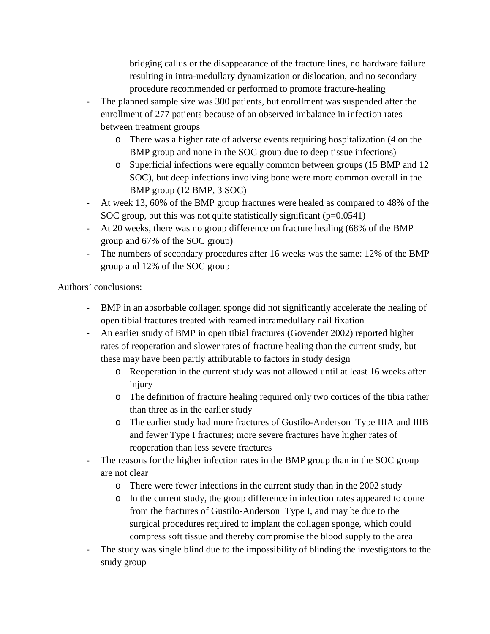bridging callus or the disappearance of the fracture lines, no hardware failure resulting in intra-medullary dynamization or dislocation, and no secondary procedure recommended or performed to promote fracture-healing

- The planned sample size was 300 patients, but enrollment was suspended after the enrollment of 277 patients because of an observed imbalance in infection rates between treatment groups
	- o There was a higher rate of adverse events requiring hospitalization (4 on the BMP group and none in the SOC group due to deep tissue infections)
	- o Superficial infections were equally common between groups (15 BMP and 12 SOC), but deep infections involving bone were more common overall in the BMP group (12 BMP, 3 SOC)
- At week 13, 60% of the BMP group fractures were healed as compared to 48% of the SOC group, but this was not quite statistically significant  $(p=0.0541)$
- At 20 weeks, there was no group difference on fracture healing (68% of the BMP group and 67% of the SOC group)
- The numbers of secondary procedures after 16 weeks was the same: 12% of the BMP group and 12% of the SOC group

Authors' conclusions:

- BMP in an absorbable collagen sponge did not significantly accelerate the healing of open tibial fractures treated with reamed intramedullary nail fixation
- An earlier study of BMP in open tibial fractures (Govender 2002) reported higher rates of reoperation and slower rates of fracture healing than the current study, but these may have been partly attributable to factors in study design
	- o Reoperation in the current study was not allowed until at least 16 weeks after injury
	- o The definition of fracture healing required only two cortices of the tibia rather than three as in the earlier study
	- o The earlier study had more fractures of Gustilo-Anderson Type IIIA and IIIB and fewer Type I fractures; more severe fractures have higher rates of reoperation than less severe fractures
- The reasons for the higher infection rates in the BMP group than in the SOC group are not clear
	- o There were fewer infections in the current study than in the 2002 study
	- o In the current study, the group difference in infection rates appeared to come from the fractures of Gustilo-Anderson Type I, and may be due to the surgical procedures required to implant the collagen sponge, which could compress soft tissue and thereby compromise the blood supply to the area
- The study was single blind due to the impossibility of blinding the investigators to the study group